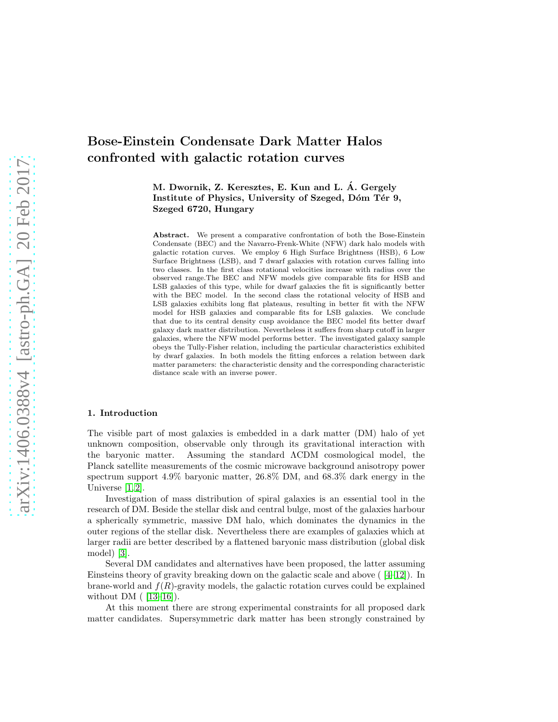# Bose-Einstein Condensate Dark Matter Halos confronted with galactic rotation curves

M. Dwornik, Z. Keresztes, E. Kun and L. A. Gergely ´ Institute of Physics, University of Szeged, Dóm Tér 9, Szeged 6720, Hungary

Abstract. We present a comparative confrontation of both the Bose-Einstein Condensate (BEC) and the Navarro-Frenk-White (NFW) dark halo models with galactic rotation curves. We employ 6 High Surface Brightness (HSB), 6 Low Surface Brightness (LSB), and 7 dwarf galaxies with rotation curves falling into two classes. In the first class rotational velocities increase with radius over the observed range.The BEC and NFW models give comparable fits for HSB and LSB galaxies of this type, while for dwarf galaxies the fit is significantly better with the BEC model. In the second class the rotational velocity of HSB and LSB galaxies exhibits long flat plateaus, resulting in better fit with the NFW model for HSB galaxies and comparable fits for LSB galaxies. We conclude that due to its central density cusp avoidance the BEC model fits better dwarf galaxy dark matter distribution. Nevertheless it suffers from sharp cutoff in larger galaxies, where the NFW model performs better. The investigated galaxy sample obeys the Tully-Fisher relation, including the particular characteristics exhibited by dwarf galaxies. In both models the fitting enforces a relation between dark matter parameters: the characteristic density and the corresponding characteristic distance scale with an inverse power.

## 1. Introduction

The visible part of most galaxies is embedded in a dark matter (DM) halo of yet unknown composition, observable only through its gravitational interaction with the baryonic matter. Assuming the standard ΛCDM cosmological model, the Planck satellite measurements of the cosmic microwave background anisotropy power spectrum support 4.9% baryonic matter, 26.8% DM, and 68.3% dark energy in the Universe [\[1,](#page-13-0) [2\]](#page-13-1).

Investigation of mass distribution of spiral galaxies is an essential tool in the research of DM. Beside the stellar disk and central bulge, most of the galaxies harbour a spherically symmetric, massive DM halo, which dominates the dynamics in the outer regions of the stellar disk. Nevertheless there are examples of galaxies which at larger radii are better described by a flattened baryonic mass distribution (global disk model) [\[3\]](#page-13-2).

Several DM candidates and alternatives have been proposed, the latter assuming Einsteins theory of gravity breaking down on the galactic scale and above  $(4-12)$ . In brane-world and  $f(R)$ -gravity models, the galactic rotation curves could be explained without DM  $(13-16)$ .

At this moment there are strong experimental constraints for all proposed dark matter candidates. Supersymmetric dark matter has been strongly constrained by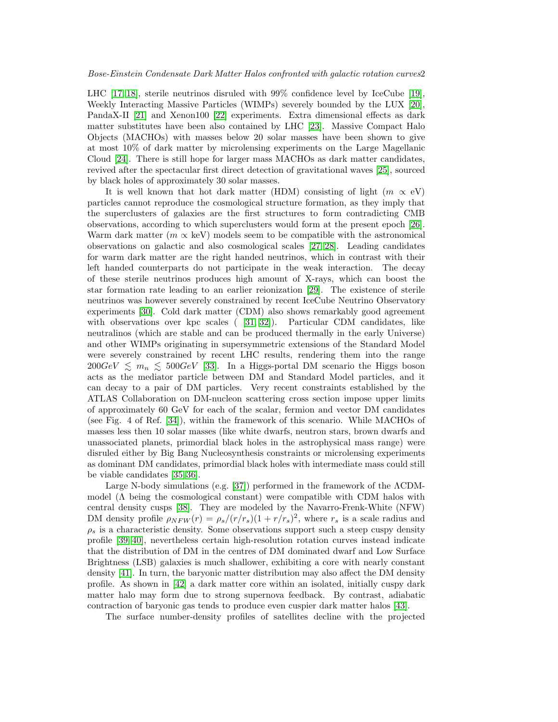LHC [\[17,](#page-13-7) [18\]](#page-14-0), sterile neutrinos disruled with 99% confidence level by IceCube [\[19\]](#page-14-1), Weekly Interacting Massive Particles (WIMPs) severely bounded by the LUX [\[20\]](#page-14-2), PandaX-II [\[21\]](#page-14-3) and Xenon100 [\[22\]](#page-14-4) experiments. Extra dimensional effects as dark matter substitutes have been also contained by LHC [\[23\]](#page-14-5). Massive Compact Halo Objects (MACHOs) with masses below 20 solar masses have been shown to give at most 10% of dark matter by microlensing experiments on the Large Magellanic Cloud [\[24\]](#page-14-6). There is still hope for larger mass MACHOs as dark matter candidates, revived after the spectacular first direct detection of gravitational waves [\[25\]](#page-14-7), sourced by black holes of approximately 30 solar masses.

It is well known that hot dark matter (HDM) consisting of light  $(m \propto eV)$ particles cannot reproduce the cosmological structure formation, as they imply that the superclusters of galaxies are the first structures to form contradicting CMB observations, according to which superclusters would form at the present epoch [\[26\]](#page-14-8). Warm dark matter ( $m \propto \text{keV}$ ) models seem to be compatible with the astronomical observations on galactic and also cosmological scales [\[27,](#page-14-9) [28\]](#page-14-10). Leading candidates for warm dark matter are the right handed neutrinos, which in contrast with their left handed counterparts do not participate in the weak interaction. The decay of these sterile neutrinos produces high amount of X-rays, which can boost the star formation rate leading to an earlier reionization [\[29\]](#page-14-11). The existence of sterile neutrinos was however severely constrained by recent IceCube Neutrino Observatory experiments [\[30\]](#page-14-12). Cold dark matter (CDM) also shows remarkably good agreement with observations over kpc scales ( [\[31,](#page-14-13) [32\]](#page-14-14)). Particular CDM candidates, like neutralinos (which are stable and can be produced thermally in the early Universe) and other WIMPs originating in supersymmetric extensions of the Standard Model were severely constrained by recent LHC results, rendering them into the range  $200GeV \leq m_n \leq 500GeV$  [\[33\]](#page-14-15). In a Higgs-portal DM scenario the Higgs boson acts as the mediator particle between DM and Standard Model particles, and it can decay to a pair of DM particles. Very recent constraints established by the ATLAS Collaboration on DM-nucleon scattering cross section impose upper limits of approximately 60 GeV for each of the scalar, fermion and vector DM candidates (see Fig. 4 of Ref. [\[34\]](#page-14-16)), within the framework of this scenario. While MACHOs of masses less then 10 solar masses (like white dwarfs, neutron stars, brown dwarfs and unassociated planets, primordial black holes in the astrophysical mass range) were disruled either by Big Bang Nucleosynthesis constraints or microlensing experiments as dominant DM candidates, primordial black holes with intermediate mass could still be viable candidates [\[35,](#page-14-17) [36\]](#page-14-18).

Large N-body simulations (e.g. [\[37\]](#page-14-19)) performed in the framework of the ΛCDMmodel ( $\Lambda$  being the cosmological constant) were compatible with CDM halos with central density cusps [\[38\]](#page-14-20). They are modeled by the Navarro-Frenk-White (NFW) DM density profile  $\rho_{NFW}(r) = \rho_s/(r/r_s)(1+r/r_s)^2$ , where  $r_s$  is a scale radius and  $\rho_s$  is a characteristic density. Some observations support such a steep cuspy density profile [\[39,](#page-14-21) [40\]](#page-14-22), nevertheless certain high-resolution rotation curves instead indicate that the distribution of DM in the centres of DM dominated dwarf and Low Surface Brightness (LSB) galaxies is much shallower, exhibiting a core with nearly constant density [\[41\]](#page-14-23). In turn, the baryonic matter distribution may also affect the DM density profile. As shown in [\[42\]](#page-14-24) a dark matter core within an isolated, initially cuspy dark matter halo may form due to strong supernova feedback. By contrast, adiabatic contraction of baryonic gas tends to produce even cuspier dark matter halos [\[43\]](#page-14-25).

The surface number-density profiles of satellites decline with the projected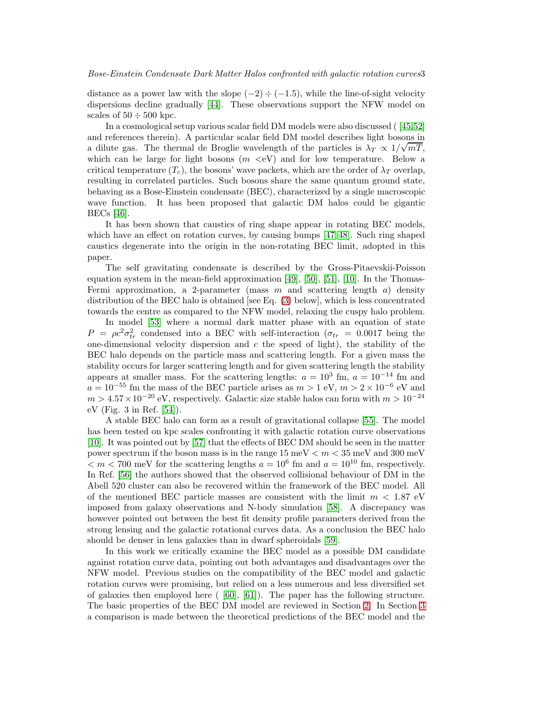distance as a power law with the slope  $(-2) \div (-1.5)$ , while the line-of-sight velocity dispersions decline gradually [\[44\]](#page-14-26). These observations support the NFW model on scales of  $50 \div 500$  kpc.

In a cosmological setup various scalar field DM models were also discussed ( [\[45,](#page-14-27)[52\]](#page-15-0) and references therein). A particular scalar field DM model describes light bosons in a dilute gas. The thermal de Broglie wavelength of the particles is  $\lambda_T \propto 1/\sqrt{mT}$ , which can be large for light bosons  $(m \le eV)$  and for low temperature. Below a critical temperature  $(T_c)$ , the bosons' wave packets, which are the order of  $\lambda_T$  overlap, resulting in correlated particles. Such bosons share the same quantum ground state, behaving as a Bose-Einstein condensate (BEC), characterized by a single macroscopic wave function. It has been proposed that galactic DM halos could be gigantic BECs [\[46\]](#page-14-28).

It has been shown that caustics of ring shape appear in rotating BEC models, which have an effect on rotation curves, by causing bumps [\[47,](#page-14-29) [48\]](#page-15-1). Such ring shaped caustics degenerate into the origin in the non-rotating BEC limit, adopted in this paper.

The self gravitating condensate is described by the Gross-Pitaevskii-Poisson equation system in the mean-field approximation [\[49\]](#page-15-2), [\[50\]](#page-15-3), [\[51\]](#page-15-4), [\[10\]](#page-13-8). In the Thomas-Fermi approximation, a 2-parameter (mass  $m$  and scattering length  $a$ ) density distribution of the BEC halo is obtained [see Eq. [\(3\)](#page-3-0) below], which is less concentrated towards the centre as compared to the NFW model, relaxing the cuspy halo problem.

In model [\[53\]](#page-15-5) where a normal dark matter phase with an equation of state  $P = \rho c^2 \sigma_{tr}^2$  condensed into a BEC with self-interaction ( $\sigma_{tr} = 0.0017$  being the one-dimensional velocity dispersion and  $c$  the speed of light), the stability of the BEC halo depends on the particle mass and scattering length. For a given mass the stability occurs for larger scattering length and for given scattering length the stability appears at smaller mass. For the scattering lengths:  $a = 10^3$  fm,  $a = 10^{-14}$  fm and  $a = 10^{-55}$  fm the mass of the BEC particle arises as  $m > 1$  eV,  $m > 2 \times 10^{-6}$  eV and  $m > 4.57 \times 10^{-20}$  eV, respectively. Galactic size stable halos can form with  $m > 10^{-24}$ eV (Fig. 3 in Ref. [\[54\]](#page-15-6)).

A stable BEC halo can form as a result of gravitational collapse [\[55\]](#page-15-7). The model has been tested on kpc scales confronting it with galactic rotation curve observations [\[10\]](#page-13-8). It was pointed out by [\[57\]](#page-15-8) that the effects of BEC DM should be seen in the matter power spectrum if the boson mass is in the range  $15 \text{ meV} < m < 35 \text{ meV}$  and  $300 \text{ meV}$  $\langle m \rangle$  700 meV for the scattering lengths  $a = 10^6$  fm and  $a = 10^{10}$  fm, respectively. In Ref. [\[56\]](#page-15-9) the authors showed that the observed collisional behaviour of DM in the Abell 520 cluster can also be recovered within the framework of the BEC model. All of the mentioned BEC particle masses are consistent with the limit  $m < 1.87$  eV imposed from galaxy observations and N-body simulation [\[58\]](#page-15-10). A discrepancy was however pointed out between the best fit density profile parameters derived from the strong lensing and the galactic rotational curves data. As a conclusion the BEC halo should be denser in lens galaxies than in dwarf spheroidals [\[59\]](#page-15-11).

In this work we critically examine the BEC model as a possible DM candidate against rotation curve data, pointing out both advantages and disadvantages over the NFW model. Previous studies on the compatibility of the BEC model and galactic rotation curves were promising, but relied on a less numerous and less diversified set of galaxies then employed here  $($  [\[60\]](#page-15-12), [\[61\]](#page-15-13)). The paper has the following structure. The basic properties of the BEC DM model are reviewed in Section [2.](#page-3-1) In Section [3](#page-4-0) a comparison is made between the theoretical predictions of the BEC model and the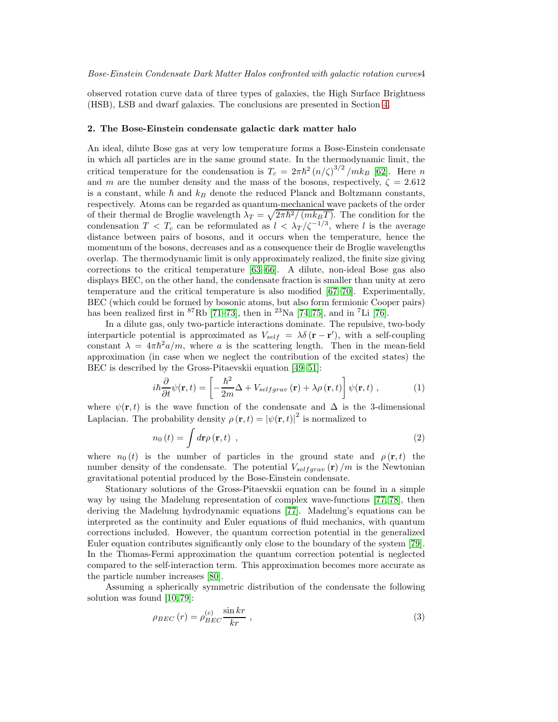observed rotation curve data of three types of galaxies, the High Surface Brightness (HSB), LSB and dwarf galaxies. The conclusions are presented in Section [4.](#page-10-0)

#### <span id="page-3-1"></span>2. The Bose-Einstein condensate galactic dark matter halo

An ideal, dilute Bose gas at very low temperature forms a Bose-Einstein condensate in which all particles are in the same ground state. In the thermodynamic limit, the critical temperature for the condensation is  $T_c = 2\pi\hbar^2 (n/\zeta)^{3/2}/mk_B$  [\[62\]](#page-15-14). Here n and m are the number density and the mass of the bosons, respectively,  $\zeta = 2.612$ is a constant, while  $\hbar$  and  $k_B$  denote the reduced Planck and Boltzmann constants, respectively. Atoms can be regarded as quantum-mechanical wave packets of the order of their thermal de Broglie wavelength  $\lambda_T = \sqrt{2\pi\hbar^2/(mk_BT)}$ . The condition for the condensation  $T < T_c$  can be reformulated as  $l < \lambda_T/\zeta^{-1/3}$ , where l is the average distance between pairs of bosons, and it occurs when the temperature, hence the momentum of the bosons, decreases and as a consequence their de Broglie wavelengths overlap. The thermodynamic limit is only approximately realized, the finite size giving corrections to the critical temperature [\[63](#page-15-15)[–66\]](#page-15-16). A dilute, non-ideal Bose gas also displays BEC, on the other hand, the condensate fraction is smaller than unity at zero temperature and the critical temperature is also modified [\[67](#page-15-17)[–70\]](#page-15-18). Experimentally, BEC (which could be formed by bosonic atoms, but also form fermionic Cooper pairs) has been realized first in  ${}^{87}Rb$  [\[71](#page-15-19)[–73\]](#page-15-20), then in  ${}^{23}Na$  [\[74,](#page-15-21) [75\]](#page-15-22), and in  ${}^{7}Li$  [\[76\]](#page-15-23).

In a dilute gas, only two-particle interactions dominate. The repulsive, two-body interparticle potential is approximated as  $V_{self} = \lambda \delta(\mathbf{r} - \mathbf{r}')$ , with a self-coupling constant  $\lambda = 4\pi\hbar^2 a/m$ , where a is the scattering length. Then in the mean-field approximation (in case when we neglect the contribution of the excited states) the BEC is described by the Gross-Pitaevskii equation [\[49–](#page-15-2)[51\]](#page-15-4):

$$
i\hbar \frac{\partial}{\partial t} \psi(\mathbf{r}, t) = \left[ -\frac{\hbar^2}{2m} \Delta + V_{selfgrav}(\mathbf{r}) + \lambda \rho(\mathbf{r}, t) \right] \psi(\mathbf{r}, t) , \qquad (1)
$$

where  $\psi(\mathbf{r},t)$  is the wave function of the condensate and  $\Delta$  is the 3-dimensional Laplacian. The probability density  $\rho(\mathbf{r},t) = |\psi(\mathbf{r},t)|^2$  is normalized to

<span id="page-3-2"></span>
$$
n_0(t) = \int d\mathbf{r} \rho(\mathbf{r}, t) \tag{2}
$$

where  $n_0(t)$  is the number of particles in the ground state and  $\rho(\mathbf{r},t)$  the number density of the condensate. The potential  $V_{selfgrav}(\mathbf{r})/m$  is the Newtonian gravitational potential produced by the Bose-Einstein condensate.

Stationary solutions of the Gross-Pitaevskii equation can be found in a simple way by using the Madelung representation of complex wave-functions [\[77,](#page-15-24) [78\]](#page-15-25), then deriving the Madelung hydrodynamic equations [\[77\]](#page-15-24). Madelung's equations can be interpreted as the continuity and Euler equations of fluid mechanics, with quantum corrections included. However, the quantum correction potential in the generalized Euler equation contributes significantly only close to the boundary of the system [\[79\]](#page-16-0). In the Thomas-Fermi approximation the quantum correction potential is neglected compared to the self-interaction term. This approximation becomes more accurate as the particle number increases [\[80\]](#page-16-1).

Assuming a spherically symmetric distribution of the condensate the following solution was found [\[10,](#page-13-8) [79\]](#page-16-0):

<span id="page-3-0"></span>
$$
\rho_{BEC}(r) = \rho_{BEC}^{(c)} \frac{\sin kr}{kr} , \qquad (3)
$$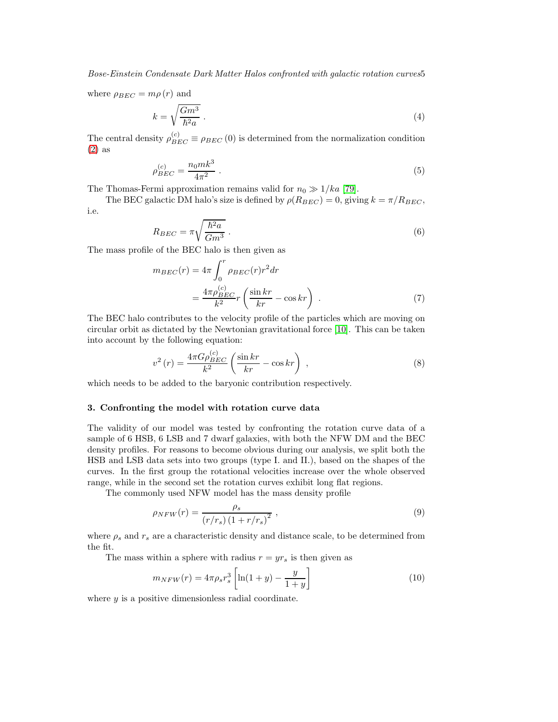Bose-Einstein Condensate Dark Matter Halos confronted with galactic rotation curves5

where  $\rho_{BEC} = m\rho(r)$  and

$$
k = \sqrt{\frac{Gm^3}{\hbar^2 a}} \tag{4}
$$

The central density  $\rho_{BEC}^{(c)} \equiv \rho_{BEC} (0)$  is determined from the normalization condition [\(2\)](#page-3-2) as

$$
\rho_{BEC}^{(c)} = \frac{n_0 m k^3}{4\pi^2} \ . \tag{5}
$$

The Thomas-Fermi approximation remains valid for  $n_0 \gg 1/ka$  [\[79\]](#page-16-0).

The BEC galactic DM halo's size is defined by  $\rho(R_{BEC}) = 0$ , giving  $k = \pi/R_{BEC}$ , i.e.

$$
R_{BEC} = \pi \sqrt{\frac{\hbar^2 a}{Gm^3}} \,. \tag{6}
$$

The mass profile of the BEC halo is then given as

$$
m_{BEC}(r) = 4\pi \int_0^r \rho_{BEC}(r) r^2 dr
$$
  
= 
$$
\frac{4\pi \rho_{BEC}^{(c)}}{k^2} r \left( \frac{\sin kr}{kr} - \cos kr \right) .
$$
 (7)

The BEC halo contributes to the velocity profile of the particles which are moving on circular orbit as dictated by the Newtonian gravitational force [\[10\]](#page-13-8). This can be taken into account by the following equation:

<span id="page-4-1"></span>
$$
v^{2}(r) = \frac{4\pi G\rho_{BEC}^{(c)}}{k^{2}} \left(\frac{\sin kr}{kr} - \cos kr\right) ,
$$
 (8)

which needs to be added to the baryonic contribution respectively.

### <span id="page-4-0"></span>3. Confronting the model with rotation curve data

The validity of our model was tested by confronting the rotation curve data of a sample of 6 HSB, 6 LSB and 7 dwarf galaxies, with both the NFW DM and the BEC density profiles. For reasons to become obvious during our analysis, we split both the HSB and LSB data sets into two groups (type I. and II.), based on the shapes of the curves. In the first group the rotational velocities increase over the whole observed range, while in the second set the rotation curves exhibit long flat regions.

The commonly used NFW model has the mass density profile

$$
\rho_{NFW}(r) = \frac{\rho_s}{\left(r/r_s\right)\left(1 + r/r_s\right)^2} \,,\tag{9}
$$

where  $\rho_s$  and  $r_s$  are a characteristic density and distance scale, to be determined from the fit.

The mass within a sphere with radius  $r = yr_s$  is then given as

$$
m_{NFW}(r) = 4\pi \rho_s r_s^3 \left[ \ln(1+y) - \frac{y}{1+y} \right]
$$
 (10)

where  $y$  is a positive dimensionless radial coordinate.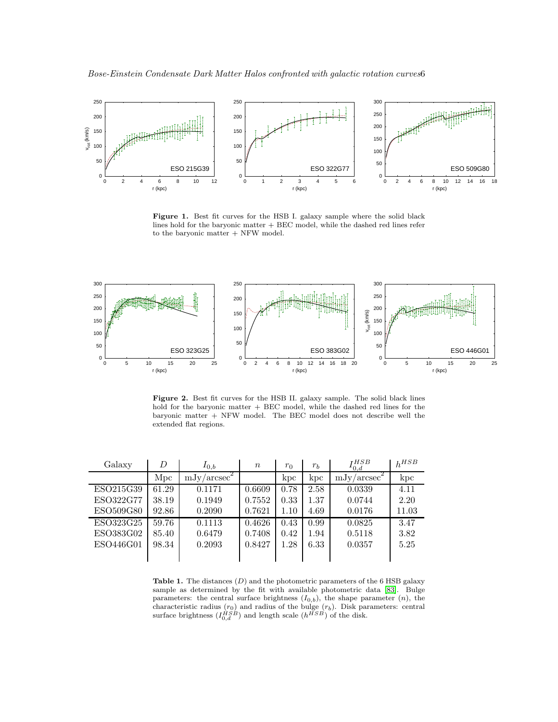

<span id="page-5-0"></span>Figure 1. Best fit curves for the HSB I. galaxy sample where the solid black lines hold for the baryonic matter + BEC model, while the dashed red lines refer to the baryonic matter + NFW model.



<span id="page-5-1"></span>Figure 2. Best fit curves for the HSB II. galaxy sample. The solid black lines hold for the baryonic matter + BEC model, while the dashed red lines for the baryonic matter + NFW model. The BEC model does not describe well the extended flat regions.

| Galaxy    | D     | $I_{0,b}$               | $\, n$ | $r_0$ | $r_b$ | $I_{0,d}^{HSB}$ | $h^{HSB}$ |
|-----------|-------|-------------------------|--------|-------|-------|-----------------|-----------|
|           | Mpc   | $\mathrm{mJy/arcsec}^2$ |        | kpc   | kpc   | $mJy/arcsec^2$  | kpc       |
| ESO215G39 | 61.29 | 0.1171                  | 0.6609 | 0.78  | 2.58  | 0.0339          | 4.11      |
| ESO322G77 | 38.19 | 0.1949                  | 0.7552 | 0.33  | 1.37  | 0.0744          | 2.20      |
| ESO509G80 | 92.86 | 0.2090                  | 0.7621 | 1.10  | 4.69  | 0.0176          | 11.03     |
| ESO323G25 | 59.76 | 0.1113                  | 0.4626 | 0.43  | 0.99  | 0.0825          | 3.47      |
| ESO383G02 | 85.40 | 0.6479                  | 0.7408 | 0.42  | 1.94  | 0.5118          | 3.82      |
| ESO446G01 | 98.34 | 0.2093                  | 0.8427 | 1.28  | 6.33  | 0.0357          | 5.25      |
|           |       |                         |        |       |       |                 |           |

<span id="page-5-2"></span>Table 1. The distances  $(D)$  and the photometric parameters of the 6 HSB galaxy sample as determined by the fit with available photometric data [\[83\]](#page-16-2). Bulge parameters: the central surface brightness  $(I_{0,b})$ , the shape parameter  $(n)$ , the characteristic radius  $(r_0)$  and radius of the bulge  $(r_b)$ . Disk parameters: central surface brightness  $(I_{0,d}^{HSB})$  and length scale  $(h^{HSB})$  of the disk.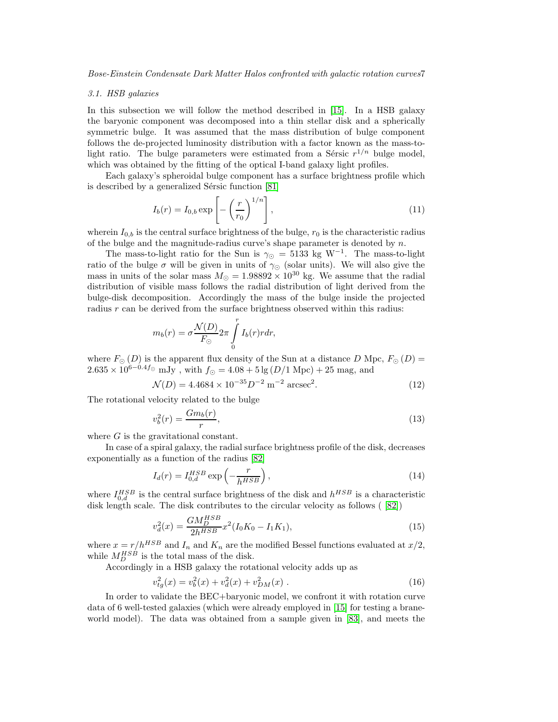### 3.1. HSB galaxies

In this subsection we will follow the method described in [\[15\]](#page-13-9). In a HSB galaxy the baryonic component was decomposed into a thin stellar disk and a spherically symmetric bulge. It was assumed that the mass distribution of bulge component follows the de-projected luminosity distribution with a factor known as the mass-tolight ratio. The bulge parameters were estimated from a Sérsic  $r^{1/n}$  bulge model, which was obtained by the fitting of the optical I-band galaxy light profiles.

Each galaxy's spheroidal bulge component has a surface brightness profile which is described by a generalized Sérsic function [\[81\]](#page-16-3)

$$
I_b(r) = I_{0,b} \exp\left[-\left(\frac{r}{r_0}\right)^{1/n}\right],\tag{11}
$$

wherein  $I_{0,b}$  is the central surface brightness of the bulge,  $r_0$  is the characteristic radius of the bulge and the magnitude-radius curve's shape parameter is denoted by  $n$ .

The mass-to-light ratio for the Sun is  $\gamma_{\odot} = 5133 \text{ kg W}^{-1}$ . The mass-to-light ratio of the bulge  $\sigma$  will be given in units of  $\gamma_{\odot}$  (solar units). We will also give the mass in units of the solar mass  $M_{\odot} = 1.98892 \times 10^{30}$  kg. We assume that the radial distribution of visible mass follows the radial distribution of light derived from the bulge-disk decomposition. Accordingly the mass of the bulge inside the projected radius  $r$  can be derived from the surface brightness observed within this radius:

$$
m_b(r) = \sigma \frac{\mathcal{N}(D)}{F_{\odot}} 2\pi \int\limits_0^r I_b(r)r dr,
$$

where  $F_{\odot} (D)$  is the apparent flux density of the Sun at a distance D Mpc,  $F_{\odot} (D) =$  $2.635 \times 10^{6-0.4}$  mJy, with  $f_{\odot} = 4.08 + 5 \lg(D/1 \text{ Mpc}) + 25 \text{ mag}$ , and

$$
\mathcal{N}(D) = 4.4684 \times 10^{-35} D^{-2} \, \text{m}^{-2} \, \text{arcsec}^2. \tag{12}
$$

The rotational velocity related to the bulge

$$
v_b^2(r) = \frac{Gm_b(r)}{r},\tag{13}
$$

where  $G$  is the gravitational constant.

In case of a spiral galaxy, the radial surface brightness profile of the disk, decreases exponentially as a function of the radius [\[82\]](#page-16-4)

$$
I_d(r) = I_{0,d}^{HSB} \exp\left(-\frac{r}{h^{HSB}}\right),\tag{14}
$$

where  $I_{0,d}^{HSB}$  is the central surface brightness of the disk and  $h^{HSB}$  is a characteristic disk length scale. The disk contributes to the circular velocity as follows ( [\[82\]](#page-16-4))

$$
v_d^2(x) = \frac{GM_D^{HSB}}{2h^{HSB}} x^2 (I_0 K_0 - I_1 K_1),\tag{15}
$$

where  $x = r/h^{HSB}$  and  $I_n$  and  $K_n$  are the modified Bessel functions evaluated at  $x/2$ , while  $M_D^{HSB}$  is the total mass of the disk.

Accordingly in a HSB galaxy the rotational velocity adds up as

$$
v_{tg}^2(x) = v_b^2(x) + v_d^2(x) + v_{DM}^2(x) . \tag{16}
$$

In order to validate the BEC+baryonic model, we confront it with rotation curve data of 6 well-tested galaxies (which were already employed in [\[15\]](#page-13-9) for testing a braneworld model). The data was obtained from a sample given in [\[83\]](#page-16-2), and meets the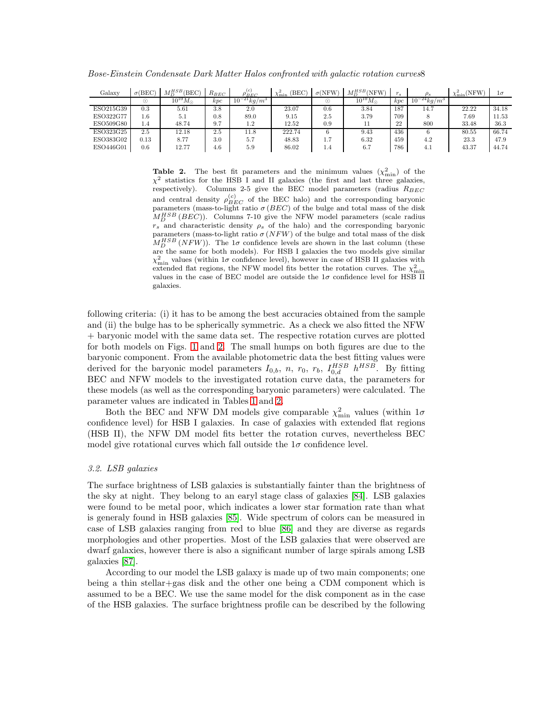| Galaxy    | $\sigma$ (BEC) | $M_{D}^{HSB}(\rm BEC)$<br>Шn | $R_{BEC}$ | (c)<br>$\rho_{BEC}$          | (BEC)<br>∙min | $\sigma(NFW)$ | $M_D^{HSB}$ (NFW)   | $r_{s}$ | $\rho_s$                     | $\chi^2_{\rm min}(\rm NFW)$ | $1\sigma$ |
|-----------|----------------|------------------------------|-----------|------------------------------|---------------|---------------|---------------------|---------|------------------------------|-----------------------------|-----------|
|           | (٠             | $10^{10} M_{\odot}$          | kpc       | $10^{-21}$ kg/m <sup>3</sup> |               | $( \cdot )$   | $10^{10} M_{\odot}$ | kpc     | $10^{-24}$ kg/m <sup>3</sup> |                             |           |
| ESO215G39 | $_{0.3}$       | 5.61                         | 3.8       | 2.0                          | 23.07         | 0.6           | 3.84                | 187     | 14.7                         | 22.22                       | 34.18     |
| ESO322G77 | $1.6\,$        | 5.1                          | 0.8       | 89.0                         | 9.15          | 2.5           | 3.79                | 709     |                              | 7.69                        | 11.53     |
| ESO509G80 | 1.4            | 48.74                        | 9.7       | 1.2                          | 12.52         | 0.9           |                     | 22      | 800                          | 33.48                       | 36.3      |
| ESO323G25 | 2.5            | 12.18                        | 2.5       | 11.8                         | 222.74        |               | 9.43                | 436     |                              | 80.55                       | 66.74     |
| ESO383G02 | 0.13           | 8.77                         | 3.0       | 5.7                          | 48.83         | 1.7           | 6.32                | 459     | 4.2                          | 23.3                        | 47.9      |
| ESO446G01 | 0.6            | 12.77                        | 4.6       | 5.9                          | 86.02         | 1.4           | 6.7                 | 786     | 4.1                          | 43.37                       | 44.74     |

Bose-Einstein Condensate Dark Matter Halos confronted with galactic rotation curves8

<span id="page-7-0"></span>**Table 2.** The best fit parameters and the minimum values  $(\chi^2_{\text{min}})$  of the  $\chi^2$  statistics for the HSB I and II galaxies (the first and last three galaxies, respectively). Columns 2-5 give the BEC model parameters (radius  $R_{BEC}$ and central density  $\rho_{BEC}^{(c)}$  of the BEC halo) and the corresponding baryonic parameters (mass-to-light ratio  $\sigma$  (*BEC*) of the bulge and total mass of the disk  $M_D^{HSB}$  (*BEC*)). Columns 7-10 give the NFW model parameters (scale radius  $r_s$  and characteristic density  $\rho_s$  of the halo) and the corresponding baryonic parameters (mass-to-light ratio  $\sigma (NFW)$  of the bulge and total mass of the disk  $M_D^{HSB} (NFW)$ ). The 1 $\sigma$  confidence levels are shown in the last column (these are the same for both models). For HSB I galaxies the two models give similar  $\chi^2_{\rm min}$  values (within  $1\sigma$  confidence level), however in case of HSB II galaxies with extended flat regions, the NFW model fits better the rotation curves. The  $\chi^2_{\rm min}$ values in the case of BEC model are outside the  $1\sigma$  confidence level for HSB II galaxies.

following criteria: (i) it has to be among the best accuracies obtained from the sample and (ii) the bulge has to be spherically symmetric. As a check we also fitted the NFW + baryonic model with the same data set. The respective rotation curves are plotted for both models on Figs. [1](#page-5-0) and [2.](#page-5-1) The small humps on both figures are due to the baryonic component. From the available photometric data the best fitting values were derived for the baryonic model parameters  $I_{0,b}$ , n,  $r_0$ ,  $r_b$ ,  $I_{0,d}^{HSB}$   $h^{HSB}$ . By fitting BEC and NFW models to the investigated rotation curve data, the parameters for these models (as well as the corresponding baryonic parameters) were calculated. The parameter values are indicated in Tables [1](#page-5-2) and [2.](#page-7-0)

Both the BEC and NFW DM models give comparable  $\chi^2_{\rm min}$  values (within  $1\sigma$ ) confidence level) for HSB I galaxies. In case of galaxies with extended flat regions (HSB II), the NFW DM model fits better the rotation curves, nevertheless BEC model give rotational curves which fall outside the  $1\sigma$  confidence level.

## 3.2. LSB galaxies

The surface brightness of LSB galaxies is substantially fainter than the brightness of the sky at night. They belong to an earyl stage class of galaxies [\[84\]](#page-16-5). LSB galaxies were found to be metal poor, which indicates a lower star formation rate than what is generaly found in HSB galaxies [\[85\]](#page-16-6). Wide spectrum of colors can be measured in case of LSB galaxies ranging from red to blue [\[86\]](#page-16-7) and they are diverse as regards morphologies and other properties. Most of the LSB galaxies that were observed are dwarf galaxies, however there is also a significant number of large spirals among LSB galaxies [\[87\]](#page-16-8).

According to our model the LSB galaxy is made up of two main components; one being a thin stellar+gas disk and the other one being a CDM component which is assumed to be a BEC. We use the same model for the disk component as in the case of the HSB galaxies. The surface brightness profile can be described by the following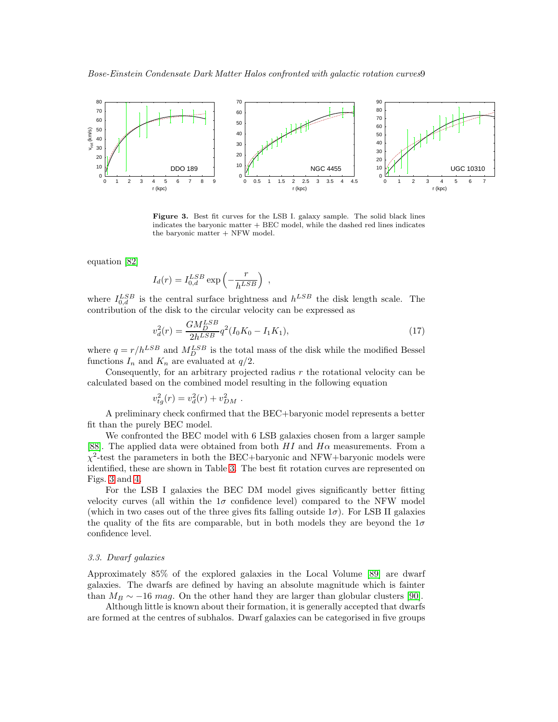

<span id="page-8-0"></span>Figure 3. Best fit curves for the LSB I. galaxy sample. The solid black lines indicates the baryonic matter + BEC model, while the dashed red lines indicates the baryonic matter + NFW model.

equation [\[82\]](#page-16-4)

$$
I_d(r) = I_{0,d}^{LSB} \exp\left(-\frac{r}{h^{LSB}}\right)
$$

where  $I_{0,d}^{LSB}$  is the central surface brightness and  $h^{LSB}$  the disk length scale. The contribution of the disk to the circular velocity can be expressed as

,

$$
v_d^2(r) = \frac{GM_D^{LSB}}{2h^{LSB}} q^2 (I_0 K_0 - I_1 K_1),\tag{17}
$$

where  $q = r/h^{LSB}$  and  $M_D^{LSB}$  is the total mass of the disk while the modified Bessel functions  $I_n$  and  $K_n$  are evaluated at  $q/2$ .

Consequently, for an arbitrary projected radius  $r$  the rotational velocity can be calculated based on the combined model resulting in the following equation

$$
v_{tg}^2(r) = v_d^2(r) + v_{DM}^2.
$$

A preliminary check confirmed that the BEC+baryonic model represents a better fit than the purely BEC model.

We confronted the BEC model with 6 LSB galaxies chosen from a larger sample [\[88\]](#page-16-9). The applied data were obtained from both  $HI$  and  $H\alpha$  measurements. From a  $\chi^2$ -test the parameters in both the BEC+baryonic and NFW+baryonic models were identified, these are shown in Table [3.](#page-9-0) The best fit rotation curves are represented on Figs. [3](#page-8-0) and [4.](#page-9-1)

For the LSB I galaxies the BEC DM model gives significantly better fitting velocity curves (all within the  $1\sigma$  confidence level) compared to the NFW model (which in two cases out of the three gives fits falling outside  $1\sigma$ ). For LSB II galaxies the quality of the fits are comparable, but in both models they are beyond the  $1\sigma$ confidence level.

# 3.3. Dwarf galaxies

Approximately 85% of the explored galaxies in the Local Volume [\[89\]](#page-16-10) are dwarf galaxies. The dwarfs are defined by having an absolute magnitude which is fainter than  $M_B \sim -16$  mag. On the other hand they are larger than globular clusters [\[90\]](#page-16-11).

Although little is known about their formation, it is generally accepted that dwarfs are formed at the centres of subhalos. Dwarf galaxies can be categorised in five groups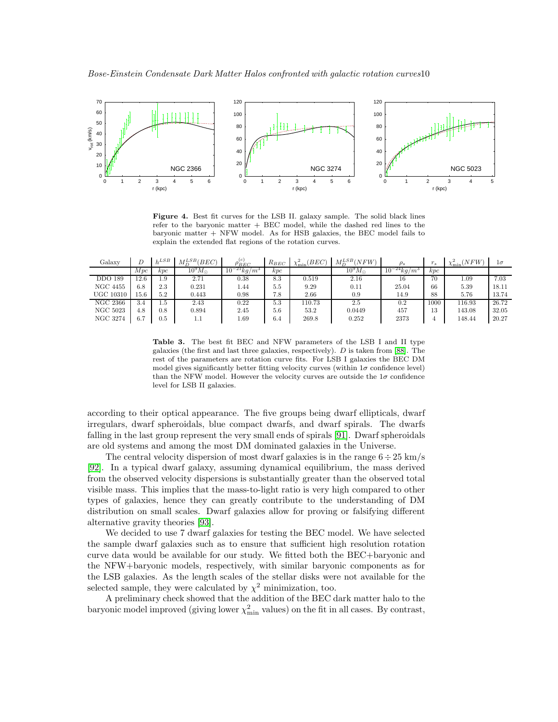

<span id="page-9-1"></span>Figure 4. Best fit curves for the LSB II. galaxy sample. The solid black lines refer to the baryonic matter + BEC model, while the dashed red lines to the baryonic matter + NFW model. As for HSB galaxies, the BEC model fails to explain the extended flat regions of the rotation curves.

| Galaxy          |      | L       | $M_D^{LSB} (BEC)$ | $\rho_{BEC}^{(c)}$           | $R_{BEC}$ | $_{BEC}$<br>$v_{\min}^2$ | $M_D^{LSB}(NFW)$ |                              | $r_{s}$ | $\chi^2_{\rm min}(NFW)$ | $1\sigma$ |
|-----------------|------|---------|-------------------|------------------------------|-----------|--------------------------|------------------|------------------------------|---------|-------------------------|-----------|
|                 | Mpc  | kpc     | $10^9 M_{\odot}$  | $10^{-21}$ kg/m <sup>3</sup> | kpc       |                          | $10^9 M_{\odot}$ | $10^{-24}$ kg/m <sup>3</sup> | kpc     |                         |           |
| <b>DDO 189</b>  | 12.6 | 1.9     | 2.71              | 0.38                         | 8.3       | 0.519                    | 2.16             | 16                           | 70      | 1.09                    | 7.03      |
| <b>NGC 4455</b> | 6.8  | 2.3     | 0.231             | 1.44                         | 5.5       | 9.29                     | 0.11             | 25.04                        | 66      | 5.39                    | 18.11     |
| UGC 10310       | 15.6 | 5.2     | 0.443             | 0.98                         | 7.8       | 2.66                     | 0.9              | 14.9                         | 88      | 5.76                    | 13.74     |
| NGC 2366        | 3.4  | L.b     | 2.43              | 0.22                         | 5.3       | 110.73                   | 2.5              | $0.2\,$                      | 1000    | 116.93                  | 26.72     |
| <b>NGC 5023</b> | 4.8  | 0.8     | 0.894             | 2.45                         | 5.6       | 53.2                     | 0.0449           | 457                          | 13      | 143.08                  | 32.05     |
| NGC 3274        | 6.7  | $0.5\,$ | 1.1               | 1.69                         | 6.4       | 269.8                    | 0.252            | 2373                         |         | 148.44                  | 20.27     |

<span id="page-9-0"></span>Table 3. The best fit BEC and NFW parameters of the LSB I and II type galaxies (the first and last three galaxies, respectively). D is taken from [\[88\]](#page-16-9). The rest of the parameters are rotation curve fits. For LSB I galaxies the BEC DM model gives significantly better fitting velocity curves (within  $1\sigma$  confidence level) than the NFW model. However the velocity curves are outside the  $1\sigma$  confidence level for LSB II galaxies.

according to their optical appearance. The five groups being dwarf ellipticals, dwarf irregulars, dwarf spheroidals, blue compact dwarfs, and dwarf spirals. The dwarfs falling in the last group represent the very small ends of spirals [\[91\]](#page-16-12). Dwarf spheroidals are old systems and among the most DM dominated galaxies in the Universe.

The central velocity dispersion of most dwarf galaxies is in the range  $6 \div 25 \text{ km/s}$ [\[92\]](#page-16-13). In a typical dwarf galaxy, assuming dynamical equilibrium, the mass derived from the observed velocity dispersions is substantially greater than the observed total visible mass. This implies that the mass-to-light ratio is very high compared to other types of galaxies, hence they can greatly contribute to the understanding of DM distribution on small scales. Dwarf galaxies allow for proving or falsifying different alternative gravity theories [\[93\]](#page-16-14).

We decided to use 7 dwarf galaxies for testing the BEC model. We have selected the sample dwarf galaxies such as to ensure that sufficient high resolution rotation curve data would be available for our study. We fitted both the BEC+baryonic and the NFW+baryonic models, respectively, with similar baryonic components as for the LSB galaxies. As the length scales of the stellar disks were not available for the selected sample, they were calculated by  $\chi^2$  minimization, too.

A preliminary check showed that the addition of the BEC dark matter halo to the baryonic model improved (giving lower  $\chi^2_{\rm min}$  values) on the fit in all cases. By contrast,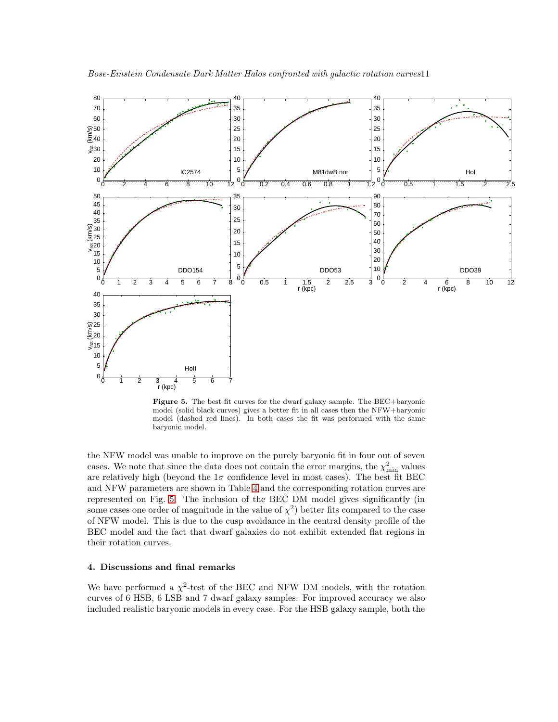

<span id="page-10-1"></span>Figure 5. The best fit curves for the dwarf galaxy sample. The BEC+baryonic model (solid black curves) gives a better fit in all cases then the NFW+baryonic model (dashed red lines). In both cases the fit was performed with the same baryonic model.

the NFW model was unable to improve on the purely baryonic fit in four out of seven cases. We note that since the data does not contain the error margins, the  $\chi^2_{\rm min}$  values are relatively high (beyond the  $1\sigma$  confidence level in most cases). The best fit BEC and NFW parameters are shown in Table [4](#page-11-0) and the corresponding rotation curves are represented on Fig. [5.](#page-10-1) The inclusion of the BEC DM model gives significantly (in some cases one order of magnitude in the value of  $\chi^2$ ) better fits compared to the case of NFW model. This is due to the cusp avoidance in the central density profile of the BEC model and the fact that dwarf galaxies do not exhibit extended flat regions in their rotation curves.

## <span id="page-10-0"></span>4. Discussions and final remarks

We have performed a  $\chi^2$ -test of the BEC and NFW DM models, with the rotation curves of 6 HSB, 6 LSB and 7 dwarf galaxy samples. For improved accuracy we also included realistic baryonic models in every case. For the HSB galaxy sample, both the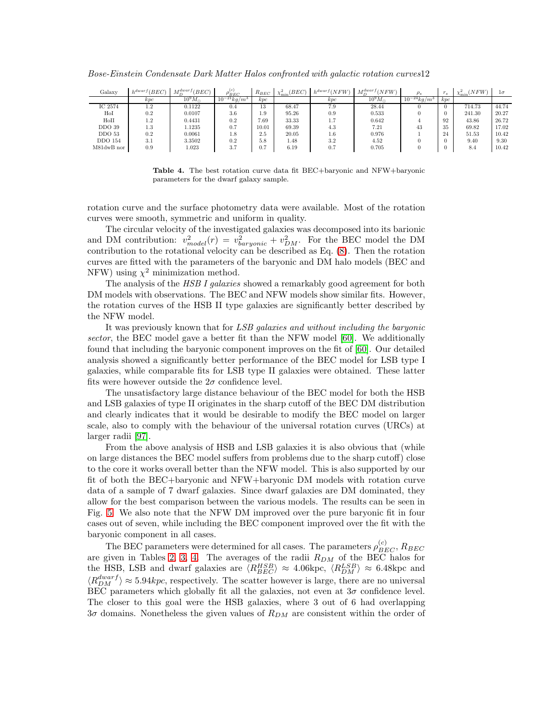| Galaxv           | $h^{dwarf}(BEC)$ | $\frac{1}{2}$ rdwar<br>(BEC) | (c)<br>$\rho_{BEC}$                 | $R_{BEC}$ | (BEC)<br>$\chi^2_{\rm min}$ | $h^{dwarf}(NFW)$ | a rdwarf<br>(NFW) |                               | <b>AD</b><br>r's | $\chi^2_{\rm min}(NFW)$ | lσ    |
|------------------|------------------|------------------------------|-------------------------------------|-----------|-----------------------------|------------------|-------------------|-------------------------------|------------------|-------------------------|-------|
|                  | kpc              | $10^9 M_{\odot}$             | $10^{-}$<br>$x^2$ kg/m <sup>3</sup> | kpc       |                             | kpc              | $10^9 M_{\odot}$  | $10^{-}$<br>kg/m <sup>3</sup> | kpc              |                         |       |
| IC 2574          | 1.2              | 0.1122                       | 0.4                                 | 13        | 68.47                       | 7.9              | 28.44             |                               |                  | 714.73                  | 44.74 |
| HoI              | 0.2              | 0.0107                       | 3.6                                 | 1.9       | 95.26                       | 0.9              | 0.533             |                               | $\Omega$         | 241.30                  | 20.27 |
| $_{\rm{H o II}}$ | 1.2              | 0.4431                       | 0.2                                 | 7.69      | 33.33                       | 1.7              | 0.642             |                               | 92               | 43.86                   | 26.72 |
| DDO 39           | 1.3              | 1.1235                       | 0.7                                 | 10.01     | 69.39                       | 4.3              | 7.21              | 43                            | 35               | 69.82                   | 17.02 |
| DDO 53           | 0.2              | 0.0061                       | 1.8                                 | 2.5       | 20.05                       | $1.6\,$          | 0.976             |                               | 24               | 51.53                   | 10.42 |
| <b>DDO</b> 154   | 3.1              | 3.3502                       | 0.2                                 | 5.8       | 1.48                        | 3.2              | 4.52              |                               | $\Omega$         | 9.40                    | 9.30  |
| M81dwB nor       | 0.9              | 1.023                        | 3.7                                 | 0.7       | 6.19                        | 0.7              | 0.705             |                               |                  | 8.4                     | 10.42 |

Bose-Einstein Condensate Dark Matter Halos confronted with galactic rotation curves12

<span id="page-11-0"></span>Table 4. The best rotation curve data fit BEC+baryonic and NFW+baryonic parameters for the dwarf galaxy sample.

rotation curve and the surface photometry data were available. Most of the rotation curves were smooth, symmetric and uniform in quality.

The circular velocity of the investigated galaxies was decomposed into its barionic and DM contribution:  $v_{model}^2(r) = v_{baryonic}^2 + v_{DM}^2$ . For the BEC model the DM contribution to the rotational velocity can be described as Eq. [\(8\)](#page-4-1). Then the rotation curves are fitted with the parameters of the baryonic and DM halo models (BEC and NFW) using  $\chi^2$  minimization method.

The analysis of the *HSB I galaxies* showed a remarkably good agreement for both DM models with observations. The BEC and NFW models show similar fits. However, the rotation curves of the HSB II type galaxies are significantly better described by the NFW model.

It was previously known that for LSB galaxies and without including the baryonic sector, the BEC model gave a better fit than the NFW model [\[60\]](#page-15-12). We additionally found that including the baryonic component improves on the fit of [\[60\]](#page-15-12). Our detailed analysis showed a significantly better performance of the BEC model for LSB type I galaxies, while comparable fits for LSB type II galaxies were obtained. These latter fits were however outside the  $2\sigma$  confidence level.

The unsatisfactory large distance behaviour of the BEC model for both the HSB and LSB galaxies of type II originates in the sharp cutoff of the BEC DM distribution and clearly indicates that it would be desirable to modify the BEC model on larger scale, also to comply with the behaviour of the universal rotation curves (URCs) at larger radii [\[97\]](#page-16-15).

From the above analysis of HSB and LSB galaxies it is also obvious that (while on large distances the BEC model suffers from problems due to the sharp cutoff) close to the core it works overall better than the NFW model. This is also supported by our fit of both the BEC+baryonic and NFW+baryonic DM models with rotation curve data of a sample of 7 dwarf galaxies. Since dwarf galaxies are DM dominated, they allow for the best comparison between the various models. The results can be seen in Fig. [5.](#page-10-1) We also note that the NFW DM improved over the pure baryonic fit in four cases out of seven, while including the BEC component improved over the fit with the baryonic component in all cases.

The BEC parameters were determined for all cases. The parameters  $\rho_{BEC}^{(c)}$ ,  $R_{BEC}$ are given in Tables [2,](#page-7-0) [3,](#page-9-0) [4.](#page-11-0) The averages of the radii  $R_{DM}$  of the BEC halos for the HSB, LSB and dwarf galaxies are  $\langle R_{BEC}^{HSB} \rangle \approx 4.06 \text{kpc}, \langle R_{DM}^{LSB} \rangle \approx 6.48 \text{kpc}$  and  $\langle R_{DM}^{dwarf} \rangle \approx 5.94 kpc$ , respectively. The scatter however is large, there are no universal BEC parameters which globally fit all the galaxies, not even at  $3\sigma$  confidence level. The closer to this goal were the HSB galaxies, where 3 out of 6 had overlapping  $3\sigma$  domains. Nonetheless the given values of  $R_{DM}$  are consistent within the order of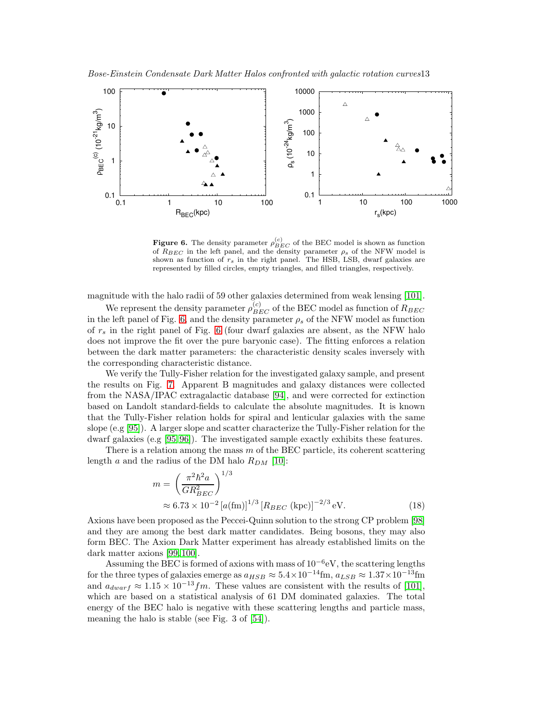

<span id="page-12-0"></span>**Figure 6.** The density parameter  $\rho_{BEC}^{(c)}$  of the BEC model is shown as function of  $R_{BEC}$  in the left panel, and the density parameter  $\rho_s$  of the NFW model is shown as function of  $r_s$  in the right panel. The HSB, LSB, dwarf galaxies are represented by filled circles, empty triangles, and filled triangles, respectively.

magnitude with the halo radii of 59 other galaxies determined from weak lensing [\[101\]](#page-16-16).

We represent the density parameter  $\rho_{BEC}^{(c)}$  of the BEC model as function of  $R_{BEC}$ in the left panel of Fig. [6,](#page-12-0) and the density parameter  $\rho_s$  of the NFW model as function of  $r_s$  in the right panel of Fig. [6](#page-12-0) (four dwarf galaxies are absent, as the NFW halo does not improve the fit over the pure baryonic case). The fitting enforces a relation between the dark matter parameters: the characteristic density scales inversely with the corresponding characteristic distance.

We verify the Tully-Fisher relation for the investigated galaxy sample, and present the results on Fig. [7.](#page-13-10) Apparent B magnitudes and galaxy distances were collected from the NASA/IPAC extragalactic database [\[94\]](#page-16-17), and were corrected for extinction based on Landolt standard-fields to calculate the absolute magnitudes. It is known that the Tully-Fisher relation holds for spiral and lenticular galaxies with the same slope (e.g [\[95\]](#page-16-18)). A larger slope and scatter characterize the Tully-Fisher relation for the dwarf galaxies (e.g [\[95,](#page-16-18) [96\]](#page-16-19)). The investigated sample exactly exhibits these features.

There is a relation among the mass  $m$  of the BEC particle, its coherent scattering length a and the radius of the DM halo  $R_{DM}$  [\[10\]](#page-13-8):

$$
m = \left(\frac{\pi^2 \hbar^2 a}{GR_{BEC}^2}\right)^{1/3}
$$
  
 
$$
\approx 6.73 \times 10^{-2} \left[a\text{(fm)}\right]^{1/3} \left[R_{BEC} \text{ (kpc)}\right]^{-2/3} \text{eV}.
$$
 (18)

Axions have been proposed as the Peccei-Quinn solution to the strong CP problem [\[98\]](#page-16-20) and they are among the best dark matter candidates. Being bosons, they may also form BEC. The Axion Dark Matter experiment has already established limits on the dark matter axions [\[99,](#page-16-21) [100\]](#page-16-22).

Assuming the BEC is formed of axions with mass of  $10^{-6}$ eV, the scattering lengths for the three types of galaxies emerge as  $a_{HSB} \approx 5.4 \times 10^{-14}$ fm,  $a_{LSB} \approx 1.37 \times 10^{-13}$ fm and  $a_{dwarf} \approx 1.15 \times 10^{-13} fm$ . These values are consistent with the results of [\[101\]](#page-16-16), which are based on a statistical analysis of 61 DM dominated galaxies. The total energy of the BEC halo is negative with these scattering lengths and particle mass, meaning the halo is stable (see Fig. 3 of [\[54\]](#page-15-6)).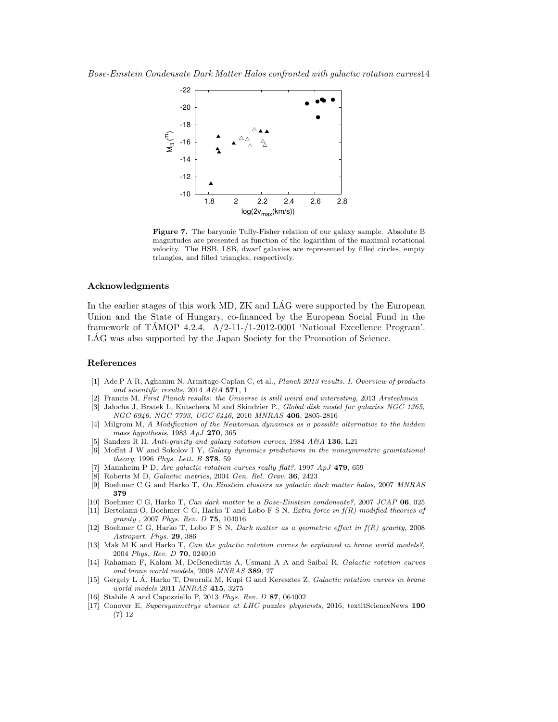

<span id="page-13-10"></span>Figure 7. The baryonic Tully-Fisher relation of our galaxy sample. Absolute B magnitudes are presented as function of the logarithm of the maximal rotational velocity. The HSB, LSB, dwarf galaxies are represented by filled circles, empty triangles, and filled triangles, respectively.

# Acknowledgments

In the earlier stages of this work MD, ZK and LÁG were supported by the European Union and the State of Hungary, co-financed by the European Social Fund in the framework of TAMOP 4.2.4.  $A/2-11$ -/1-2012-0001 'National Excellence Program'. LAG was also supported by the Japan Society for the Promotion of Science.

#### References

- <span id="page-13-0"></span>[1] Ade P A R, Aghanim N, Armitage-Caplan C, et al., Planck 2013 results. I. Overview of products and scientific results, 2014  $A\mathcal{C}A$  571, 1
- <span id="page-13-2"></span><span id="page-13-1"></span>[2] Francis M, First Planck results: the Universe is still weird and interesting, 2013 Arstechnica
- [3] Jałocha J, Bratek L, Kutschera M and Skindzier P., Global disk model for galaxies NGC 1365, NGC 6946, NGC 7793, UGC 6446, 2010 MNRAS 406, 2805-2816
- <span id="page-13-3"></span>[4] Milgrom M, A Modification of the Newtonian dynamics as a possible alternative to the hidden mass hypothesis, 1983 ApJ 270, 365
- [5] Sanders R H, Anti-gravity and galaxy rotation curves, 1984 A&A 136, L21
- [6] Moffat J W and Sokolov I Y, Galaxy dynamics predictions in the nonsymmetric gravitational theory, 1996 Phys. Lett. B 378, 59
- [7] Mannheim P D, Are galactic rotation curves really flat?, 1997 ApJ 479, 659
- Roberts M D, Galactic metrics, 2004 Gen. Rel. Grav. 36, 2423
- [9] Boehmer C G and Harko T, On Einstein clusters as galactic dark matter halos, 2007 MNRAS 379
- <span id="page-13-8"></span>[10] Boehmer C G, Harko T, Can dark matter be a Bose-Einstein condensate?, 2007 JCAP 06, 025
- [11] Bertolami O, Boehmer C G, Harko T and Lobo F S N, Extra force in  $f(R)$  modified theories of gravity , 2007 Phys. Rev. D 75, 104016
- <span id="page-13-4"></span>[12] Boehmer C G, Harko T, Lobo F S N, Dark matter as a geometric effect in f(R) gravity, 2008 Astropart. Phys. 29, 386
- <span id="page-13-5"></span>[13] Mak M K and Harko T, Can the galactic rotation curves be explained in brane world models?, 2004 Phys. Rev. D 70, 024010
- [14] Rahaman F, Kalam M, DeBenedictis A, Usmani A A and Saibal R, Galactic rotation curves and brane world models, 2008 MNRAS 389, 27
- <span id="page-13-9"></span>[15] Gergely L Á, Harko T, Dwornik M, Kupi G and Keresztes Z, Galactic rotation curves in brane world models 2011 MNRAS 415, 3275
- <span id="page-13-7"></span><span id="page-13-6"></span>[16] Stabile A and Capozziello P, 2013 Phys. Rev. D 87, 064002
- [17] Conover E, Supersymmetrys absence at LHC puzzles physicists, 2016, textitScienceNews 190 (7) 12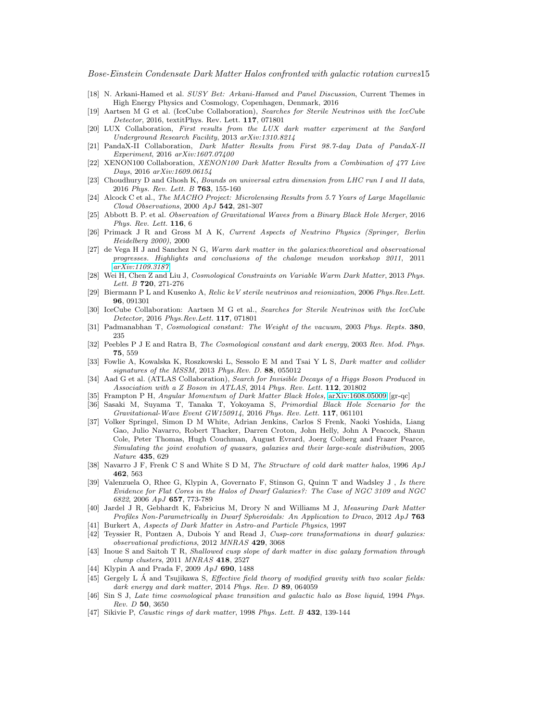<span id="page-14-0"></span>Bose-Einstein Condensate Dark Matter Halos confronted with galactic rotation curves15

- [18] N. Arkani-Hamed et al. SUSY Bet: Arkani-Hamed and Panel Discussion, Current Themes in High Energy Physics and Cosmology, Copenhagen, Denmark, 2016
- <span id="page-14-1"></span>[19] Aartsen M G et al. (IceCube Collaboration), Searches for Sterile Neutrinos with the IceCube Detector, 2016, textitPhys. Rev. Lett. 117, 071801
- <span id="page-14-2"></span>[20] LUX Collaboration, First results from the LUX dark matter experiment at the Sanford Underground Research Facility, 2013 arXiv:1310.8214
- <span id="page-14-3"></span>[21] PandaX-II Collaboration, Dark Matter Results from First 98.7-day Data of PandaX-II Experiment, 2016 arXiv:1607.07400
- <span id="page-14-4"></span>[22] XENON100 Collaboration, XENON100 Dark Matter Results from a Combination of 477 Live Days, 2016 arXiv:1609.06154
- <span id="page-14-5"></span>[23] Choudhury D and Ghosh K, Bounds on universal extra dimension from LHC run I and II data, 2016 Phys. Rev. Lett. B 763, 155-160
- <span id="page-14-6"></span>[24] Alcock C et al., The MACHO Project: Microlensing Results from 5.7 Years of Large Magellanic Cloud Observations, 2000 ApJ 542, 281-307
- <span id="page-14-7"></span>[25] Abbott B. P. et al. Observation of Gravitational Waves from a Binary Black Hole Merger, 2016 Phys. Rev. Lett. 116, 6
- <span id="page-14-8"></span>[26] Primack J R and Gross M A K, Current Aspects of Neutrino Physics (Springer, Berlin Heidelberg 2000), 2000
- <span id="page-14-9"></span>[27] de Vega H J and Sanchez N G, Warm dark matter in the galaxies:theoretical and observational progresses. Highlights and conclusions of the chalonge meudon workshop 2011, 2011 [arXiv:1109.3187](http://arxiv.org/abs/1109.3187)
- <span id="page-14-10"></span>[28] Wei H, Chen Z and Liu J, Cosmological Constraints on Variable Warm Dark Matter, 2013 Phys. Lett. B 720, 271-276
- <span id="page-14-11"></span>[29] Biermann P L and Kusenko A, Relic keV sterile neutrinos and reionization, 2006 Phys. Rev. Lett. 96, 091301
- <span id="page-14-12"></span>[30] IceCube Collaboration: Aartsen M G et al., Searches for Sterile Neutrinos with the IceCube Detector, 2016 Phys.Rev.Lett. 117, 071801
- <span id="page-14-13"></span>[31] Padmanabhan T, Cosmological constant: The Weight of the vacuum, 2003 Phys. Repts. 380, 235
- <span id="page-14-14"></span>[32] Peebles P J E and Ratra B, The Cosmological constant and dark energy, 2003 Rev. Mod. Phys. 75, 559
- <span id="page-14-15"></span>[33] Fowlie A, Kowalska K, Roszkowski L, Sessolo E M and Tsai Y L S, Dark matter and collider signatures of the MSSM, 2013 Phys.Rev. D. 88, 055012
- <span id="page-14-16"></span>[34] Aad G et al. (ATLAS Collaboration), Search for Invisible Decays of a Higgs Boson Produced in Association with a Z Boson in ATLAS, 2014 Phys. Rev. Lett. 112, 201802
- <span id="page-14-18"></span><span id="page-14-17"></span>[35] Frampton P H, Angular Momentum of Dark Matter Black Holes, [arXiv:1608.05009](http://arxiv.org/abs/1608.05009) [gr-qc]
- [36] Sasaki M, Suyama T, Tanaka T, Yokoyama S, Primordial Black Hole Scenario for the Gravitational-Wave Event GW150914, 2016 Phys. Rev. Lett. 117, 061101
- <span id="page-14-19"></span>[37] Volker Springel, Simon D M White, Adrian Jenkins, Carlos S Frenk, Naoki Yoshida, Liang Gao, Julio Navarro, Robert Thacker, Darren Croton, John Helly, John A Peacock, Shaun Cole, Peter Thomas, Hugh Couchman, August Evrard, Joerg Colberg and Frazer Pearce, Simulating the joint evolution of quasars, galaxies and their large-scale distribution, 2005 Nature 435, 629
- <span id="page-14-20"></span>[38] Navarro J F, Frenk C S and White S D M, The Structure of cold dark matter halos, 1996 ApJ 462, 563
- <span id="page-14-21"></span>[39] Valenzuela O, Rhee G, Klypin A, Governato F, Stinson G, Quinn T and Wadsley J , Is there Evidence for Flat Cores in the Halos of Dwarf Galaxies?: The Case of NGC 3109 and NGC 6822, 2006 ApJ 657, 773-789
- <span id="page-14-22"></span>[40] Jardel J R, Gebhardt K, Fabricius M, Drory N and Williams M J, Measuring Dark Matter Profiles Non-Parametrically in Dwarf Spheroidals: An Application to Draco, 2012 ApJ 763
- <span id="page-14-24"></span><span id="page-14-23"></span>[41] Burkert A, Aspects of Dark Matter in Astro-and Particle Physics, 1997
- [42] Teyssier R, Pontzen A, Dubois Y and Read J, Cusp-core transformations in dwarf galaxies: observational predictions, 2012 MNRAS 429, 3068
- <span id="page-14-25"></span>[43] Inoue S and Saitoh T R, Shallowed cusp slope of dark matter in disc galaxy formation through clump clusters, 2011 MNRAS 418, 2527
- <span id="page-14-27"></span><span id="page-14-26"></span>[44] Klypin A and Prada F, 2009 ApJ 690, 1488
- [45] Gergely L  $\acute{A}$  and Tsujikawa S, *Effective field theory of modified gravity with two scalar fields:* dark energy and dark matter, 2014 Phys. Rev. D 89, 064059
- <span id="page-14-28"></span>[46] Sin S J, Late time cosmological phase transition and galactic halo as Bose liquid, 1994 Phys. Rev. D 50, 3650
- <span id="page-14-29"></span>[47] Sikivie P, Caustic rings of dark matter, 1998 Phys. Lett. B 432, 139-144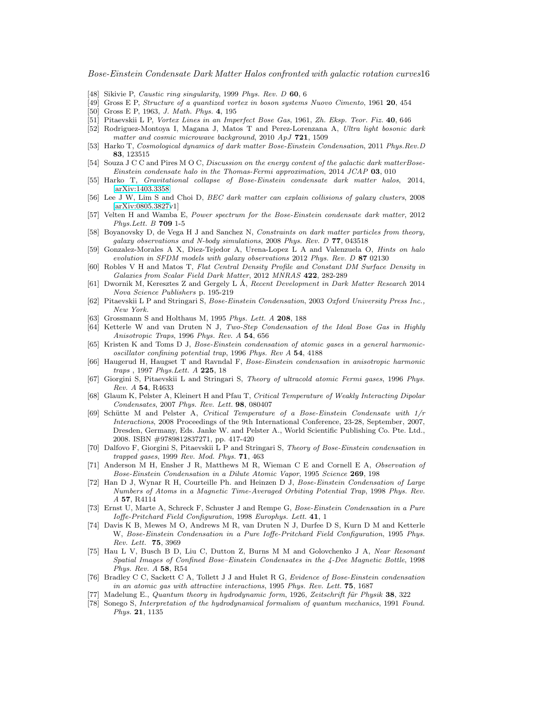<span id="page-15-1"></span>Bose-Einstein Condensate Dark Matter Halos confronted with galactic rotation curves16

- <span id="page-15-2"></span>[48] Sikivie P, *Caustic ring singularity*, 1999 Phys. Rev. D 60, 6
- <span id="page-15-3"></span>[49] Gross E P, Structure of a quantized vortex in boson systems Nuovo Cimento, 1961 20, 454
- <span id="page-15-4"></span>[50] Gross E P, 1963, J. Math. Phys. 4, 195
- <span id="page-15-0"></span>[51] Pitaevskii L P, Vortex Lines in an Imperfect Bose Gas, 1961, Zh. Eksp. Teor. Fiz. 40, 646
- [52] Rodriguez-Montoya I, Magana J, Matos T and Perez-Lorenzana A, Ultra light bosonic dark matter and cosmic microwave background, 2010 ApJ 721, 1509
- <span id="page-15-5"></span>[53] Harko T, Cosmological dynamics of dark matter Bose-Einstein Condensation, 2011 Phys.Rev.D 83, 123515
- <span id="page-15-6"></span>[54] Souza J C C and Pires M O C, Discussion on the energy content of the galactic dark matterBose-Einstein condensate halo in the Thomas-Fermi approximation, 2014 JCAP 03, 010
- <span id="page-15-7"></span>[55] Harko T, Gravitational collapse of Bose-Einstein condensate dark matter halos, 2014, [\[arXiv:1403.3358\]](http://arxiv.org/abs/1403.3358)
- <span id="page-15-9"></span>[56] Lee J W, Lim S and Choi D, BEC dark matter can explain collisions of galaxy clusters, 2008 [\[arXiv:0805.3827v](http://arxiv.org/abs/0805.3827)1]
- <span id="page-15-8"></span>[57] Velten H and Wamba E, Power spectrum for the Bose-Einstein condensate dark matter, 2012 Phys.Lett. B 709 1-5
- <span id="page-15-10"></span>[58] Boyanovsky D, de Vega H J and Sanchez N, Constraints on dark matter particles from theory, galaxy observations and N-body simulations, 2008 Phys. Rev. D 77, 043518
- <span id="page-15-11"></span>[59] Gonzalez-Morales A X, Diez-Tejedor A, Urena-Lopez L A and Valenzuela O, Hints on halo evolution in SFDM models with galaxy observations 2012 Phys. Rev. D 87 02130
- <span id="page-15-12"></span>[60] Robles V H and Matos T, Flat Central Density Profile and Constant DM Surface Density in Galaxies from Scalar Field Dark Matter, 2012 MNRAS 422, 282-289
- <span id="page-15-13"></span>[61] Dwornik M, Keresztes Z and Gergely L Á, Recent Development in Dark Matter Research 2014 Nova Science Publishers p. 195-219
- <span id="page-15-14"></span>[62] Pitaevskii L P and Stringari S, Bose-Einstein Condensation, 2003 Oxford University Press Inc., New York.
- <span id="page-15-15"></span>[63] Grossmann S and Holthaus M, 1995 Phys. Lett. A 208, 188
- [64] Ketterle W and van Druten N J, Two-Step Condensation of the Ideal Bose Gas in Highly Anisotropic Traps, 1996 Phys. Rev. A 54, 656
- [65] Kristen K and Toms D J, Bose-Einstein condensation of atomic gases in a general harmonicoscillator confining potential trap, 1996 Phys. Rev A 54, 4188
- <span id="page-15-16"></span>[66] Haugerud H, Haugset T and Ravndal F, Bose-Einstein condensation in anisotropic harmonic traps , 1997 Phys.Lett. A 225, 18
- <span id="page-15-17"></span>[67] Giorgini S, Pitaevskii L and Stringari S, Theory of ultracold atomic Fermi gases, 1996 Phys. Rev. A 54, R4633
- [68] Glaum K, Pelster A, Kleinert H and Pfau T, Critical Temperature of Weakly Interacting Dipolar Condensates, 2007 Phys. Rev. Lett. 98, 080407
- [69] Sch¨utte M and Pelster A, Critical Temperature of a Bose-Einstein Condensate with 1/r Interactions, 2008 Proceedings of the 9th International Conference, 23-28, September, 2007, Dresden, Germany, Eds. Janke W. and Pelster A., World Scientific Publishing Co. Pte. Ltd., 2008. ISBN #9789812837271, pp. 417-420
- <span id="page-15-18"></span>[70] Dalfovo F, Giorgini S, Pitaevskii L P and Stringari S, Theory of Bose-Einstein condensation in  $trapped\; gases,\;1999\;Rev.\;Mod.\;Phys.\;71,\;463$
- <span id="page-15-19"></span>[71] Anderson M H, Ensher J R, Matthews M R, Wieman C E and Cornell E A, Observation of Bose-Einstein Condensation in a Dilute Atomic Vapor, 1995 Science 269, 198
- [72] Han D J, Wynar R H, Courteille Ph. and Heinzen D J, Bose-Einstein Condensation of Large Numbers of Atoms in a Magnetic Time-Averaged Orbiting Potential Trap, 1998 Phys. Rev. A 57, R4114
- <span id="page-15-20"></span>[73] Ernst U, Marte A, Schreck F, Schuster J and Rempe G, Bose-Einstein Condensation in a Pure Ioffe-Pritchard Field Configuration, 1998 Europhys. Lett. 41, 1
- <span id="page-15-21"></span>[74] Davis K B, Mewes M O, Andrews M R, van Druten N J, Durfee D S, Kurn D M and Ketterle W, Bose-Einstein Condensation in a Pure Ioffe-Pritchard Field Configuration, 1995 Phys. Rev. Lett. 75, 3969
- <span id="page-15-22"></span>[75] Hau L V, Busch B D, Liu C, Dutton Z, Burns M M and Golovchenko J A, Near Resonant Spatial Images of Confined Bose–Einstein Condensates in the 4-Dee Magnetic Bottle, 1998 Phys. Rev. A 58, R54
- <span id="page-15-23"></span>[76] Bradley C C, Sackett C A, Tollett J J and Hulet R G, Evidence of Bose-Einstein condensation in an atomic gas with attractive interactions, 1995 Phys. Rev. Lett. 75, 1687
- <span id="page-15-25"></span><span id="page-15-24"></span>[77] Madelung E., Quantum theory in hydrodynamic form, 1926, Zeitschrift für Physik  $38,322$
- [78] Sonego S, Interpretation of the hydrodynamical formalism of quantum mechanics, 1991 Found. Phys. 21, 1135